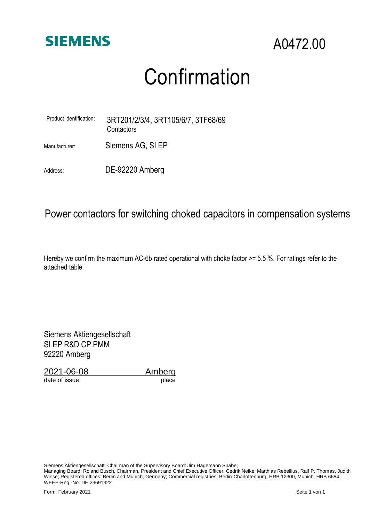

## Confirmation

| Product identification: | 3RT201/2/3/4, 3RT105/6/7, 3TF68/69<br>Contactors |
|-------------------------|--------------------------------------------------|
| Manufacturer:           | Siemens AG, SI EP                                |

Address: DE-92220 Amberg

## Power contactors for switching choked capacitors in compensation systems

Hereby we confirm the maximum AC-6b rated operational with choke factor >= 5.5 %. For ratings refer to the attached table.

Siemens Aktiengesellschaft SI EP R&D CP PMM 92220 Amberg

2021-06-08 \_\_\_\_\_\_\_\_\_\_\_Amberg

date of issue place

Siemens Aktiengesellschaft: Chairman of the Supervisory Board: Jim Hagemann Snabe;

Managing Board: Roland Busch, Chairman, President and Chief Executive Officer, Cedrik Neike, Matthias Rebellius, Ralf P. Thomas, Judith Wiese; Registered offices: Berlin and Munich, Germany; Commercial registries: Berlin-Charlottenburg, HRB 12300, Munich, HRB 6684; WEEE-Reg.-No. DE 23691322